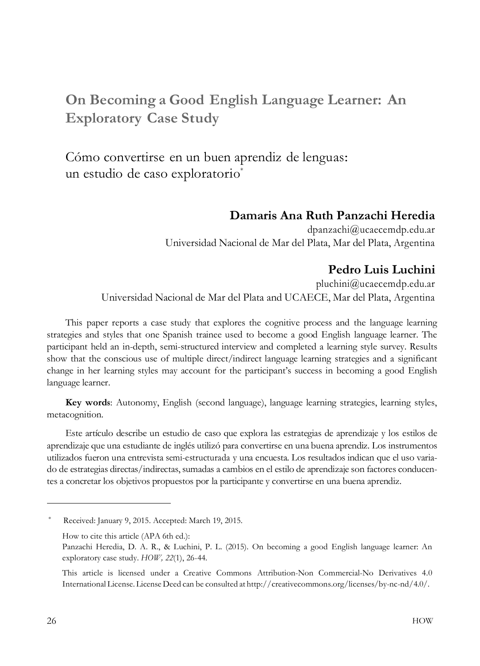# **On Becoming a Good English Language Learner: An Exploratory Case Study**

Cómo convertirse en un buen aprendiz de lenguas: un estudio de caso exploratorio<sup>\*</sup>

#### **Damaris Ana Ruth Panzachi Heredia**

[dpanzachi@ucaecemdp.edu.ar](mailto:dpanzachi@ucaecemdp.edu.ar) Universidad Nacional de Mar del Plata, Mar del Plata, Argentina

#### **Pedro Luis Luchini**

[pluchini@ucaecemdp.edu.ar](mailto:pluchini@ucaecemdp.edu.ar) Universidad Nacional de Mar del Plata and UCAECE, Mar del Plata, Argentina

This paper reports a case study that explores the cognitive process and the language learning strategies and styles that one Spanish trainee used to become a good English language learner. The participant held an in-depth, semi-structured interview and completed a learning style survey. Results show that the conscious use of multiple direct/indirect language learning strategies and a significant change in her learning styles may account for the participant's success in becoming a good English language learner.

**Key words**: Autonomy, English (second language), language learning strategies, learning styles, metacognition.

Este artículo describe un estudio de caso que explora las estrategias de aprendizaje y los estilos de aprendizaje que una estudiante de inglés utilizó para convertirse en una buena aprendiz. Los instrumentos utilizados fueron una entrevista semi-estructurada y una encuesta. Los resultados indican que el uso variado de estrategias directas/indirectas, sumadas a cambios en el estilo de aprendizaje son factores conducentes a concretar los objetivos propuestos por la participante y convertirse en una buena aprendiz.

Received: January 9, 2015. Accepted: March 19, 2015.

How to cite this article (APA 6th ed.):

Panzachi Heredia, D. A. R., & Luchini, P. L. (2015). On becoming a good English language learner: An exploratory case study. *HOW, 22*(1), 26-44.

This article is licensed under a Creative Commons Attribution-Non Commercial-No Derivatives 4.0 International License. License Deed can be consulted at [http://creativecommons.org/licenses/by-nc-nd/4.0/.](http://creativecommons.org/licenses/by-nc-nd/4.0/)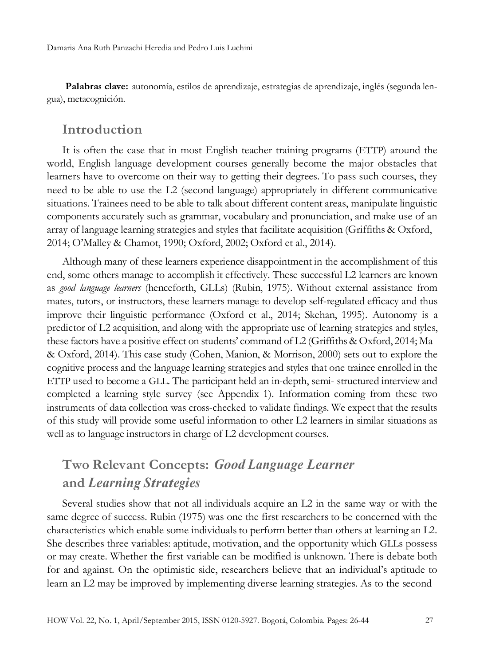**Palabras clave:** autonomía, estilos de aprendizaje, estrategias de aprendizaje, inglés (segunda lengua), metacognición.

#### **Introduction**

It is often the case that in most English teacher training programs (ETTP) around the world, English language development courses generally become the major obstacles that learners have to overcome on their way to getting their degrees. To pass such courses, they need to be able to use the L2 (second language) appropriately in different communicative situations. Trainees need to be able to talk about different content areas, manipulate linguistic components accurately such as grammar, vocabulary and pronunciation, and make use of an array of language learning strategies and styles that facilitate acquisition (Griffiths & Oxford, 2014; O'Malley & Chamot, 1990; Oxford, 2002; Oxford et al., 2014).

Although many of these learners experience disappointment in the accomplishment of this end, some others manage to accomplish it effectively. These successful L2 learners are known as *good language learners* (henceforth, GLLs) (Rubin, 1975). Without external assistance from mates, tutors, or instructors, these learners manage to develop self-regulated efficacy and thus improve their linguistic performance (Oxford et al., 2014; Skehan, 1995). Autonomy is a predictor of L2 acquisition, and along with the appropriate use of learning strategies and styles, these factors have a positive effect on students' command of L2 (Griffiths & Oxford, 2014; Ma & Oxford, 2014). This case study (Cohen, Manion, & Morrison, 2000) sets out to explore the cognitive process and the language learning strategies and styles that one trainee enrolled in the ETTP used to become a GLL. The participant held an in-depth, semi- structured interview and completed a learning style survey (see Appendix 1). Information coming from these two instruments of data collection was cross-checked to validate findings. We expect that the results of this study will provide some useful information to other L2 learners in similar situations as well as to language instructors in charge of L2 development courses.

# **Two Relevant Concepts:** *Good Language Learner* **and** *Learning Strategies*

Several studies show that not all individuals acquire an L2 in the same way or with the same degree of success. Rubin (1975) was one the first researchers to be concerned with the characteristics which enable some individuals to perform better than others at learning an L2. She describes three variables: aptitude, motivation, and the opportunity which GLLs possess or may create. Whether the first variable can be modified is unknown. There is debate both for and against. On the optimistic side, researchers believe that an individual's aptitude to learn an L2 may be improved by implementing diverse learning strategies. As to the second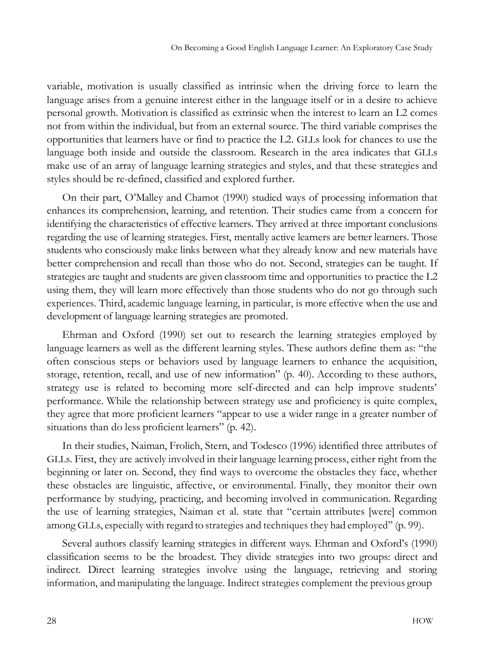variable, motivation is usually classified as intrinsic when the driving force to learn the language arises from a genuine interest either in the language itself or in a desire to achieve personal growth. Motivation is classified as extrinsic when the interest to learn an L2 comes not from within the individual, but from an external source. The third variable comprises the opportunities that learners have or find to practice the L2. GLLs look for chances to use the language both inside and outside the classroom. Research in the area indicates that GLLs make use of an array of language learning strategies and styles, and that these strategies and styles should be re-defined, classified and explored further.

On their part, O'Malley and Chamot (1990) studied ways of processing information that enhances its comprehension, learning, and retention. Their studies came from a concern for identifying the characteristics of effective learners. They arrived at three important conclusions regarding the use of learning strategies. First, mentally active learners are better learners. Those students who consciously make links between what they already know and new materials have better comprehension and recall than those who do not. Second, strategies can be taught. If strategies are taught and students are given classroom time and opportunities to practice the L2 using them, they will learn more effectively than those students who do not go through such experiences. Third, academic language learning, in particular, is more effective when the use and development of language learning strategies are promoted.

Ehrman and Oxford (1990) set out to research the learning strategies employed by language learners as well as the different learning styles. These authors define them as: "the often conscious steps or behaviors used by language learners to enhance the acquisition, storage, retention, recall, and use of new information" (p. 40). According to these authors, strategy use is related to becoming more self-directed and can help improve students' performance. While the relationship between strategy use and proficiency is quite complex, they agree that more proficient learners "appear to use a wider range in a greater number of situations than do less proficient learners" (p. 42).

In their studies, Naiman, Frolich, Stern, and Todesco (1996) identified three attributes of GLLs. First, they are actively involved in their language learning process, either right from the beginning or later on. Second, they find ways to overcome the obstacles they face, whether these obstacles are linguistic, affective, or environmental. Finally, they monitor their own performance by studying, practicing, and becoming involved in communication. Regarding the use of learning strategies, Naiman et al. state that "certain attributes [were] common among GLLs, especially with regard to strategies and techniques they had employed" (p. 99).

Several authors classify learning strategies in different ways. Ehrman and Oxford's (1990) classification seems to be the broadest. They divide strategies into two groups: direct and indirect. Direct learning strategies involve using the language, retrieving and storing information, and manipulating the language. Indirect strategies complement the previous group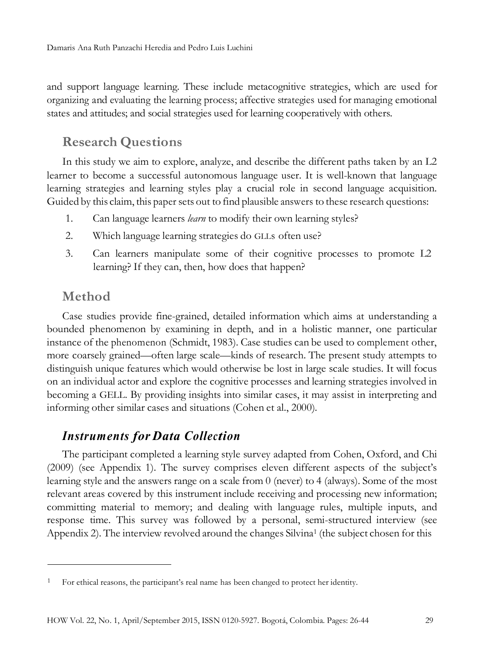and support language learning. These include metacognitive strategies, which are used for organizing and evaluating the learning process; affective strategies used for managing emotional states and attitudes; and social strategies used for learning cooperatively with others.

# **Research Questions**

In this study we aim to explore, analyze, and describe the different paths taken by an L2 learner to become a successful autonomous language user. It is well-known that language learning strategies and learning styles play a crucial role in second language acquisition. Guided by this claim, this paper sets out to find plausible answers to these research questions:

- 1. Can language learners *learn* to modify their own learning styles?
- 2. Which language learning strategies do GLLs often use?
- 3. Can learners manipulate some of their cognitive processes to promote L2 learning? If they can, then, how does that happen?

## **Method**

Case studies provide fine-grained, detailed information which aims at understanding a bounded phenomenon by examining in depth, and in a holistic manner, one particular instance of the phenomenon (Schmidt, 1983). Case studies can be used to complement other, more coarsely grained—often large scale—kinds of research. The present study attempts to distinguish unique features which would otherwise be lost in large scale studies. It will focus on an individual actor and explore the cognitive processes and learning strategies involved in becoming a GELL. By providing insights into similar cases, it may assist in interpreting and informing other similar cases and situations (Cohen et al., 2000).

### *Instruments for Data Collection*

The participant completed a learning style survey adapted from Cohen, Oxford, and Chi (2009) (see Appendix 1). The survey comprises eleven different aspects of the subject's learning style and the answers range on a scale from 0 (never) to 4 (always). Some of the most relevant areas covered by this instrument include receiving and processing new information; committing material to memory; and dealing with language rules, multiple inputs, and response time. This survey was followed by a personal, semi-structured interview (see Appendix 2). The interview revolved around the changes Silvina<sup>1</sup> (the subject chosen for this

<sup>1</sup> For ethical reasons, the participant's real name has been changed to protect her identity.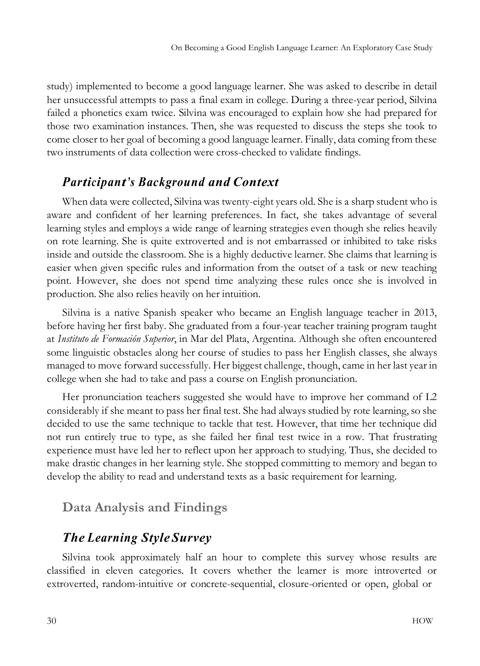study) implemented to become a good language learner. She was asked to describe in detail her unsuccessful attempts to pass a final exam in college. During a three-year period, Silvina failed a phonetics exam twice. Silvina was encouraged to explain how she had prepared for those two examination instances. Then, she was requested to discuss the steps she took to come closer to her goal of becoming a good language learner. Finally, data coming from these two instruments of data collection were cross-checked to validate findings.

### *Participant's Background and Context*

When data were collected, Silvinawas twenty-eight years old. She is a sharp student who is aware and confident of her learning preferences. In fact, she takes advantage of several learning styles and employs a wide range of learning strategies even though she relies heavily on rote learning. She is quite extroverted and is not embarrassed or inhibited to take risks inside and outside the classroom. She is a highly deductive learner. She claims that learning is easier when given specific rules and information from the outset of a task or new teaching point. However, she does not spend time analyzing these rules once she is involved in production. She also relies heavily on her intuition.

Silvina is a native Spanish speaker who became an English language teacher in 2013, before having her first baby. She graduated from a four-year teacher training program taught at *Instituto de Formación Superior*, in Mar del Plata, Argentina. Although she often encountered some linguistic obstacles along her course of studies to pass her English classes, she always managed to move forward successfully. Her biggest challenge, though, came in her last year in college when she had to take and pass a course on English pronunciation.

Her pronunciation teachers suggested she would have to improve her command of L2 considerably if she meant to pass her final test. She had always studied by rote learning, so she decided to use the same technique to tackle that test. However, that time her technique did not run entirely true to type, as she failed her final test twice in a row. That frustrating experience must have led her to reflect upon her approach to studying. Thus, she decided to make drastic changes in her learning style. She stopped committing to memory and began to develop the ability to read and understand texts as a basic requirement for learning.

## **Data Analysis and Findings**

## *The Learning Style Survey*

Silvina took approximately half an hour to complete this survey whose results are classified in eleven categories. It covers whether the learner is more introverted or extroverted, random-intuitive or concrete-sequential, closure-oriented or open, global or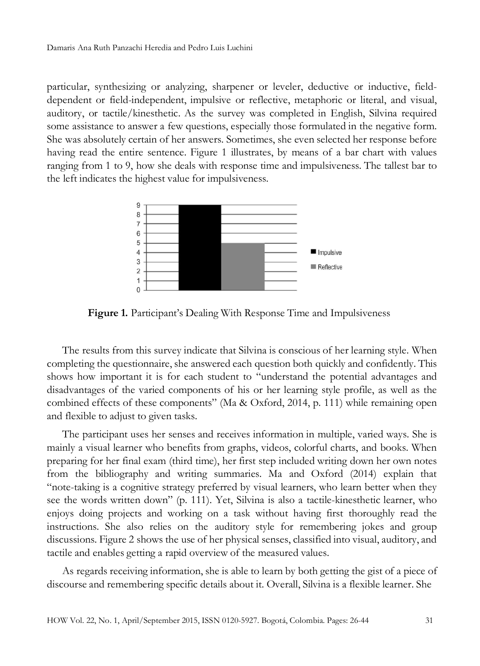particular, synthesizing or analyzing, sharpener or leveler, deductive or inductive, fielddependent or field-independent, impulsive or reflective, metaphoric or literal, and visual, auditory, or tactile/kinesthetic. As the survey was completed in English, Silvina required some assistance to answer a few questions, especially those formulated in the negative form. She was absolutely certain of her answers. Sometimes, she even selected her response before having read the entire sentence. Figure 1 illustrates, by means of a bar chart with values ranging from 1 to 9, how she deals with response time and impulsiveness. The tallest bar to the left indicates the highest value for impulsiveness.



**Figure 1.** Participant's Dealing With Response Time and Impulsiveness

The results from this survey indicate that Silvina is conscious of her learning style. When completing the questionnaire, she answered each question both quickly and confidently. This shows how important it is for each student to "understand the potential advantages and disadvantages of the varied components of his or her learning style profile, as well as the combined effects of these components" (Ma & Oxford, 2014, p. 111) while remaining open and flexible to adjust to given tasks.

The participant uses her senses and receives information in multiple, varied ways. She is mainly a visual learner who benefits from graphs, videos, colorful charts, and books. When preparing for her final exam (third time), her first step included writing down her own notes from the bibliography and writing summaries. Ma and Oxford (2014) explain that "note-taking is a cognitive strategy preferred by visual learners, who learn better when they see the words written down" (p. 111). Yet, Silvina is also a tactile-kinesthetic learner, who enjoys doing projects and working on a task without having first thoroughly read the instructions. She also relies on the auditory style for remembering jokes and group discussions. Figure 2 shows the use of her physical senses, classified into visual, auditory, and tactile and enables getting a rapid overview of the measured values.

As regards receiving information, she is able to learn by both getting the gist of a piece of discourse and remembering specific details about it. Overall, Silvina is a flexible learner. She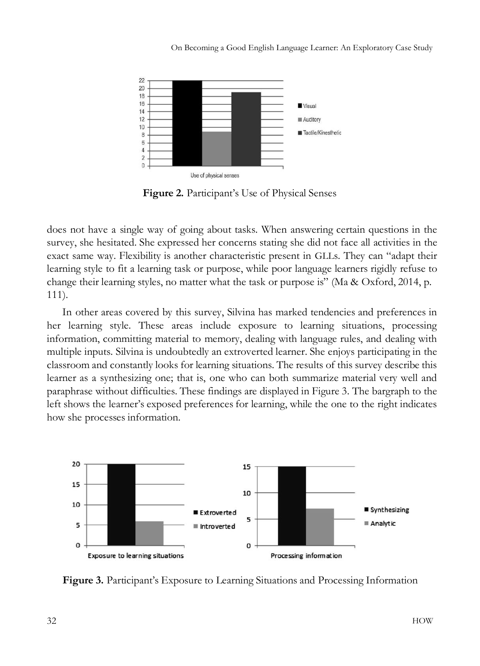

**Figure 2.** Participant's Use of Physical Senses

does not have a single way of going about tasks. When answering certain questions in the survey, she hesitated. She expressed her concerns stating she did not face all activities in the exact same way. Flexibility is another characteristic present in GLLs. They can "adapt their learning style to fit a learning task or purpose, while poor language learners rigidly refuse to change their learning styles, no matter what the task or purpose is" (Ma & Oxford, 2014, p. 111).

In other areas covered by this survey, Silvina has marked tendencies and preferences in her learning style. These areas include exposure to learning situations, processing information, committing material to memory, dealing with language rules, and dealing with multiple inputs. Silvina is undoubtedly an extroverted learner. She enjoys participating in the classroom and constantly looks for learning situations. The results of this survey describe this learner as a synthesizing one; that is, one who can both summarize material very well and paraphrase without difficulties. These findings are displayed in Figure 3. The bargraph to the left shows the learner's exposed preferences for learning, while the one to the right indicates how she processes information.



**Figure 3.** Participant's Exposure to Learning Situations and Processing Information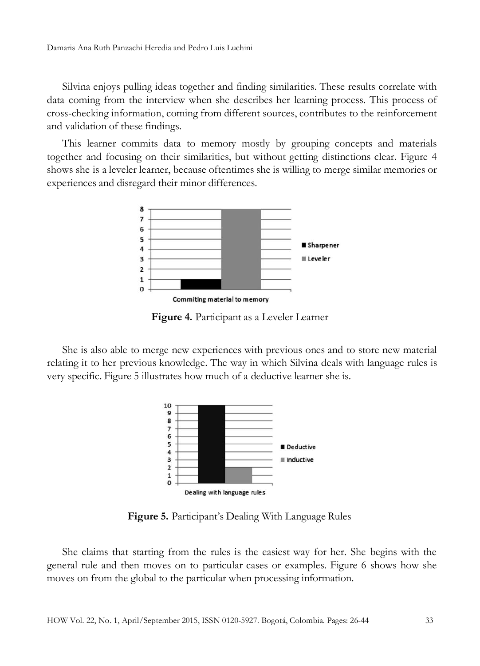Silvina enjoys pulling ideas together and finding similarities. These results correlate with data coming from the interview when she describes her learning process. This process of cross-checking information, coming from different sources, contributes to the reinforcement and validation of these findings.

This learner commits data to memory mostly by grouping concepts and materials together and focusing on their similarities, but without getting distinctions clear. Figure 4 shows she is a leveler learner, because oftentimes she is willing to merge similar memories or experiences and disregard their minor differences.



**Figure 4.** Participant as a Leveler Learner

She is also able to merge new experiences with previous ones and to store new material relating it to her previous knowledge. The way in which Silvina deals with language rules is very specific. Figure 5 illustrates how much of a deductive learner she is.



**Figure 5.** Participant's Dealing With Language Rules

She claims that starting from the rules is the easiest way for her. She begins with the general rule and then moves on to particular cases or examples. Figure 6 shows how she moves on from the global to the particular when processing information.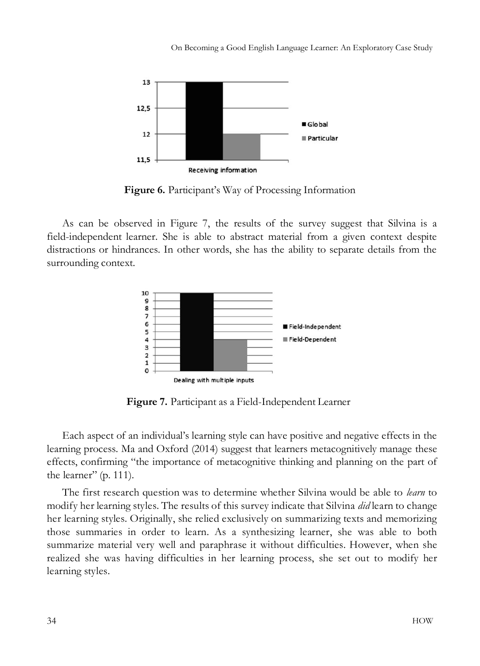On Becoming a Good English Language Learner: An Exploratory Case Study



**Figure 6.** Participant's Way of Processing Information

As can be observed in Figure 7, the results of the survey suggest that Silvina is a field-independent learner. She is able to abstract material from a given context despite distractions or hindrances. In other words, she has the ability to separate details from the surrounding context.



**Figure 7.** Participant as a Field-Independent Learner

Each aspect of an individual's learning style can have positive and negative effects in the learning process. Ma and Oxford (2014) suggest that learners metacognitively manage these effects, confirming "the importance of metacognitive thinking and planning on the part of the learner" (p. 111).

The first research question was to determine whether Silvina would be able to *learn* to modify her learning styles. The results of this survey indicate that Silvina *did* learn to change her learning styles. Originally, she relied exclusively on summarizing texts and memorizing those summaries in order to learn. As a synthesizing learner, she was able to both summarize material very well and paraphrase it without difficulties. However, when she realized she was having difficulties in her learning process, she set out to modify her learning styles.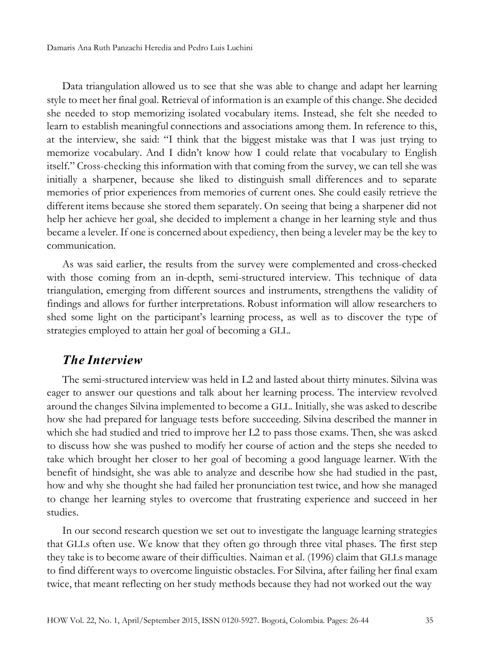Damaris Ana Ruth Panzachi Heredia and Pedro Luis Luchini

Data triangulation allowed us to see that she was able to change and adapt her learning style to meet her final goal. Retrieval of information is an example of this change. She decided she needed to stop memorizing isolated vocabulary items. Instead, she felt she needed to learn to establish meaningful connections and associations among them. In reference to this, at the interview, she said: "I think that the biggest mistake was that I was just trying to memorize vocabulary. And I didn't know how I could relate that vocabulary to English itself." Cross-checking this information with that coming from the survey, we can tell she was initially a sharpener, because she liked to distinguish small differences and to separate memories of prior experiences from memories of current ones. She could easily retrieve the different items because she stored them separately. On seeing that being a sharpener did not help her achieve her goal, she decided to implement a change in her learning style and thus became a leveler. If one is concerned about expediency, then being a leveler may be the key to communication.

As was said earlier, the results from the survey were complemented and cross-checked with those coming from an in-depth, semi-structured interview. This technique of data triangulation, emerging from different sources and instruments, strengthens the validity of findings and allows for further interpretations. Robust information will allow researchers to shed some light on the participant's learning process, as well as to discover the type of strategies employed to attain her goal of becoming a GLL.

#### *The Interview*

The semi-structured interview was held in L2 and lasted about thirty minutes. Silvina was eager to answer our questions and talk about her learning process. The interview revolved around the changes Silvina implemented to become a GLL. Initially, she was asked to describe how she had prepared for language tests before succeeding. Silvina described the manner in which she had studied and tried to improve her L2 to pass those exams. Then, she was asked to discuss how she was pushed to modify her course of action and the steps she needed to take which brought her closer to her goal of becoming a good language learner. With the benefit of hindsight, she was able to analyze and describe how she had studied in the past, how and why she thought she had failed her pronunciation test twice, and how she managed to change her learning styles to overcome that frustrating experience and succeed in her studies.

In our second research question we set out to investigate the language learning strategies that GLLs often use. We know that they often go through three vital phases. The first step they take is to become aware of their difficulties. Naiman et al. (1996) claim that GLLs manage to find different ways to overcome linguistic obstacles. For Silvina, after failing her final exam twice, that meant reflecting on her study methods because they had not worked out the way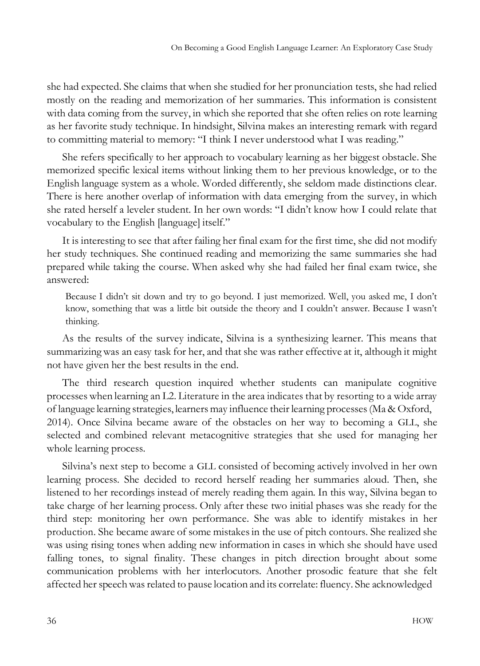she had expected. She claims that when she studied for her pronunciation tests, she had relied mostly on the reading and memorization of her summaries. This information is consistent with data coming from the survey, in which she reported that she often relies on rote learning as her favorite study technique. In hindsight, Silvina makes an interesting remark with regard to committing material to memory: "I think I never understood what I was reading."

She refers specifically to her approach to vocabulary learning as her biggest obstacle. She memorized specific lexical items without linking them to her previous knowledge, or to the English language system as a whole. Worded differently, she seldom made distinctions clear. There is here another overlap of information with data emerging from the survey, in which she rated herself a leveler student. In her own words: "I didn't know how I could relate that vocabulary to the English [language] itself."

It is interesting to see that after failing her final exam for the first time, she did not modify her study techniques. She continued reading and memorizing the same summaries she had prepared while taking the course. When asked why she had failed her final exam twice, she answered:

Because I didn't sit down and try to go beyond. I just memorized. Well, you asked me, I don't know, something that was a little bit outside the theory and I couldn't answer. Because I wasn't thinking.

As the results of the survey indicate, Silvina is a synthesizing learner. This means that summarizing was an easy task for her, and that she was rather effective at it, although it might not have given her the best results in the end.

The third research question inquired whether students can manipulate cognitive processes when learning an L2. Literature in the area indicates that by resorting to a wide array of language learning strategies, learners may influence their learning processes(Ma & Oxford, 2014). Once Silvina became aware of the obstacles on her way to becoming a GLL, she selected and combined relevant metacognitive strategies that she used for managing her whole learning process.

Silvina's next step to become a GLL consisted of becoming actively involved in her own learning process. She decided to record herself reading her summaries aloud. Then, she listened to her recordings instead of merely reading them again. In this way, Silvina began to take charge of her learning process. Only after these two initial phases was she ready for the third step: monitoring her own performance. She was able to identify mistakes in her production. She became aware of some mistakesin the use of pitch contours. She realized she was using rising tones when adding new information in cases in which she should have used falling tones, to signal finality. These changes in pitch direction brought about some communication problems with her interlocutors. Another prosodic feature that she felt affected her speechwas related to pause location and its correlate: fluency. She acknowledged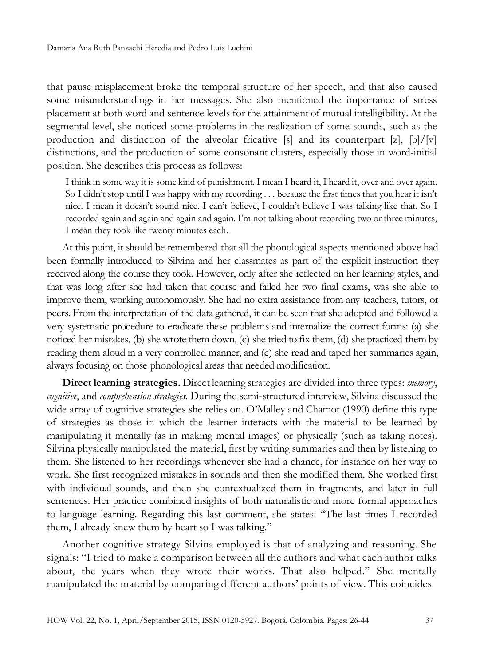that pause misplacement broke the temporal structure of her speech, and that also caused some misunderstandings in her messages. She also mentioned the importance of stress placement at both word and sentence levels for the attainment of mutual intelligibility. At the segmental level, she noticed some problems in the realization of some sounds, such as the production and distinction of the alveolar fricative  $[s]$  and its counterpart  $[z]$ ,  $[b]/[v]$ distinctions, and the production of some consonant clusters, especially those in word-initial position. She describes this process as follows:

I think in some way it is some kind of punishment. I mean I heard it, I heard it, over and over again. So I didn't stop until I was happy with my recording . . . because the first times that you hear it isn't nice. I mean it doesn't sound nice. I can't believe, I couldn't believe I was talking like that. So I recorded again and again and again and again. I'm not talking about recording two or three minutes, I mean they took like twenty minutes each.

At this point, it should be remembered that all the phonological aspects mentioned above had been formally introduced to Silvina and her classmates as part of the explicit instruction they received along the course they took. However, only after she reflected on her learning styles, and that was long after she had taken that course and failed her two final exams, was she able to improve them, working autonomously. She had no extra assistance from any teachers, tutors, or peers. From the interpretation of the data gathered, it can be seen that she adopted and followed a very systematic procedure to eradicate these problems and internalize the correct forms: (a) she noticed her mistakes, (b) she wrote them down, (c) she tried to fix them, (d) she practiced them by reading them aloud in a very controlled manner, and (e) she read and taped her summaries again, always focusing on those phonological areas that needed modification.

**Direct learning strategies.** Direct learning strategies are divided into three types: *memory*, *cognitive*, and *comprehension strategies.* During the semi-structured interview, Silvina discussed the wide array of cognitive strategies she relies on. O'Malley and Chamot (1990) define this type of strategies as those in which the learner interacts with the material to be learned by manipulating it mentally (as in making mental images) or physically (such as taking notes). Silvina physically manipulated the material, first by writing summaries and then by listening to them. She listened to her recordings whenever she had a chance, for instance on her way to work. She first recognized mistakes in sounds and then she modified them. She worked first with individual sounds, and then she contextualized them in fragments, and later in full sentences. Her practice combined insights of both naturalistic and more formal approaches to language learning. Regarding this last comment, she states: "The last times I recorded them, I already knew them by heart so I was talking."

Another cognitive strategy Silvina employed is that of analyzing and reasoning. She signals: "I tried to make a comparison between all the authors and what each author talks about, the years when they wrote their works. That also helped." She mentally manipulated the material by comparing different authors' points of view. This coincides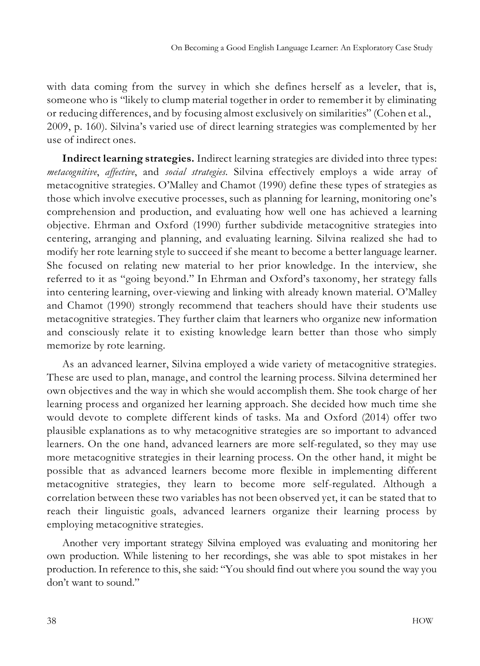with data coming from the survey in which she defines herself as a leveler, that is, someone who is "likely to clump material together in order to remember it by eliminating or reducing differences, and by focusing almost exclusively on similarities" (Cohen et al., 2009, p. 160). Silvina's varied use of direct learning strategies was complemented by her use of indirect ones.

**Indirect learning strategies.** Indirect learning strategies are divided into three types: *metacognitive*, *affective*, and *social strategies.* Silvina effectively employs a wide array of metacognitive strategies. O'Malley and Chamot (1990) define these types of strategies as those which involve executive processes, such as planning for learning, monitoring one's comprehension and production, and evaluating how well one has achieved a learning objective. Ehrman and Oxford (1990) further subdivide metacognitive strategies into centering, arranging and planning, and evaluating learning. Silvina realized she had to modify her rote learning style to succeed if she meant to become a better language learner. She focused on relating new material to her prior knowledge. In the interview, she referred to it as "going beyond." In Ehrman and Oxford's taxonomy, her strategy falls into centering learning, over-viewing and linking with already known material. O'Malley and Chamot (1990) strongly recommend that teachers should have their students use metacognitive strategies. They further claim that learners who organize new information and consciously relate it to existing knowledge learn better than those who simply memorize by rote learning.

As an advanced learner, Silvina employed a wide variety of metacognitive strategies. These are used to plan, manage, and control the learning process. Silvina determined her own objectives and the way in which she would accomplish them. She took charge of her learning process and organized her learning approach. She decided how much time she would devote to complete different kinds of tasks. Ma and Oxford (2014) offer two plausible explanations as to why metacognitive strategies are so important to advanced learners. On the one hand, advanced learners are more self-regulated, so they may use more metacognitive strategies in their learning process. On the other hand, it might be possible that as advanced learners become more flexible in implementing different metacognitive strategies, they learn to become more self-regulated. Although a correlation between these two variables has not been observed yet, it can be stated that to reach their linguistic goals, advanced learners organize their learning process by employing metacognitive strategies.

Another very important strategy Silvina employed was evaluating and monitoring her own production. While listening to her recordings, she was able to spot mistakes in her production. In reference to this, she said: "You should find out where you sound the way you don't want to sound."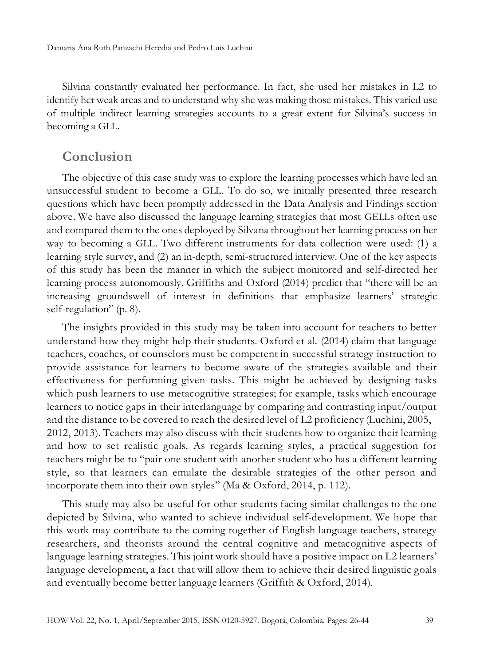Silvina constantly evaluated her performance. In fact, she used her mistakes in L2 to identify her weak areas and to understand why she was making those mistakes. This varied use of multiple indirect learning strategies accounts to a great extent for Silvina's success in becoming a GLL.

### **Conclusion**

The objective of this case study was to explore the learning processes which have led an unsuccessful student to become a GLL. To do so, we initially presented three research questions which have been promptly addressed in the Data Analysis and Findings section above. We have also discussed the language learning strategies that most GELLs often use and compared them to the ones deployed by Silvana throughout her learning process on her way to becoming a GLL. Two different instruments for data collection were used: (1) a learning style survey, and (2) an in-depth, semi-structured interview. One of the key aspects of this study has been the manner in which the subject monitored and self-directed her learning process autonomously. Griffiths and Oxford (2014) predict that "there will be an increasing groundswell of interest in definitions that emphasize learners' strategic self-regulation" (p. 8).

The insights provided in this study may be taken into account for teachers to better understand how they might help their students. Oxford et al. (2014) claim that language teachers, coaches, or counselors must be competent in successful strategy instruction to provide assistance for learners to become aware of the strategies available and their effectiveness for performing given tasks. This might be achieved by designing tasks which push learners to use metacognitive strategies; for example, tasks which encourage learners to notice gaps in their interlanguage by comparing and contrasting input/output and the distance to be covered to reach the desired level of L2 proficiency (Luchini, 2005, 2012, 2013). Teachers may also discuss with their students how to organize their learning and how to set realistic goals. As regards learning styles, a practical suggestion for teachers might be to "pair one student with another student who has a different learning style, so that learners can emulate the desirable strategies of the other person and incorporate them into their own styles" (Ma & Oxford, 2014, p. 112).

This study may also be useful for other students facing similar challenges to the one depicted by Silvina, who wanted to achieve individual self-development. We hope that this work may contribute to the coming together of English language teachers, strategy researchers, and theorists around the central cognitive and metacognitive aspects of language learning strategies. This joint work should have a positive impact on L2 learners' language development, a fact that will allow them to achieve their desired linguistic goals and eventually become better language learners (Griffith & Oxford, 2014).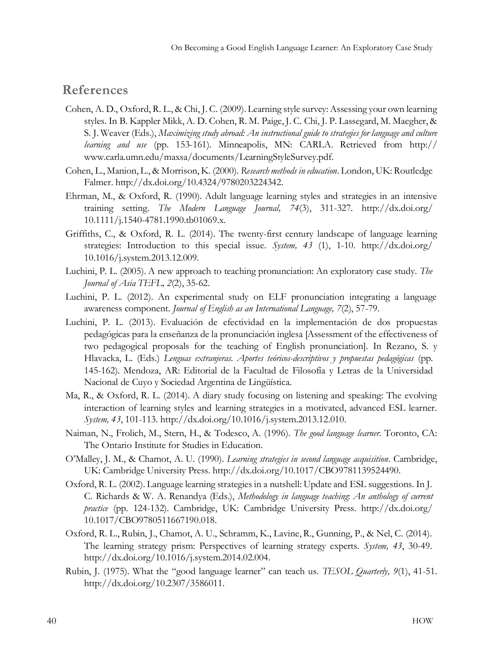#### **References**

- Cohen, A. D., Oxford, R. L., & Chi, J. C. (2009). Learning style survey: Assessing your own learning styles. In B. Kappler Mikk, A. D. Cohen, R. M. Paige, J. C. Chi, J. P. Lassegard, M. Maegher, & S. J. Weaver (Eds.), *Maximizing study abroad: An instructional guide to strategies for language and culture learning and use* (pp. 153-161)*.* Minneapolis, MN: CARLA. Retrieved from http:// [www.carla.umn.edu/maxsa/documents/LearningStyleSurvey.pdf.](http://www.carla.umn.edu/maxsa/documents/LearningStyleSurvey.pdf)
- Cohen, L., Manion, L., & Morrison, K. (2000). *Research methods in education*. London, UK: Routledge Falmer. [http://dx.doi.org/10.4324/9780203224342.](http://dx.doi.org/10.4324/9780203224342)
- Ehrman, M., & Oxford, R. (1990). Adult language learning styles and strategies in an intensive training setting. *The Modern Language Journal, 74*(3), 311-327. <http://dx.doi.org/> 10.1111/j.1540-4781.1990.tb01069.x.
- Griffiths, C., & Oxford, R. L. (2014). The twenty-first century landscape of language learning strategies: Introduction to this special issue. *System, 43* (1), 1-10. <http://dx.doi.org/> 10.1016/j.system.2013.12.009.
- Luchini, P. L. (2005). A new approach to teaching pronunciation: An exploratory case study. *The Journal of Asia TEFL, 2*(2), 35-62.
- Luchini, P. L. (2012). An experimental study on ELF pronunciation integrating a language awareness component. *Journal of English as an International Language, 7*(2), 57-79.
- Luchini, P. L. (2013). Evaluación de efectividad en la implementación de dos propuestas pedagógicas para la enseñanza de la pronunciación inglesa [Assessment of the effectiveness of two pedagogical proposals for the teaching of English pronunciation]. In Rezano, S. y Hlavacka, L. (Eds.) *Lenguas extranjeras. Aportes teóricos-descriptivos y propuestas pedagógicas* (pp. 145-162)*.* Mendoza, AR: Editorial de la Facultad de Filosofía y Letras de la Universidad Nacional de Cuyo y Sociedad Argentina de Lingüística.
- Ma, R., & Oxford, R. L. (2014). A diary study focusing on listening and speaking: The evolving interaction of learning styles and learning strategies in a motivated, advanced ESL learner. *System, 43*, 101-113. [http://dx.doi.org/10.1016/j.system.2013.12.010.](http://dx.doi.org/10.1016/j.system.2013.12.010)
- Naiman, N., Frolich, M., Stern, H., & Todesco, A. (1996). *The good language learner*. Toronto, CA: The Ontario Institute for Studies in Education.
- O'Malley, J. M., & Chamot, A. U. (1990). *Learning strategies in second language acquisition*. Cambridge, UK: Cambridge University Press. [http://dx.doi.org/10.1017/CBO9781139524490.](http://dx.doi.org/10.1017/CBO9781139524490)
- Oxford, R. L. (2002). Language learning strategies in a nutshell: Update and ESL suggestions. In J. C. Richards & W. A. Renandya (Eds.), *Methodology in language teaching*: *An anthology of current practice* (pp. 124-132). Cambridge, UK: Cambridge University Press. <http://dx.doi.org/> 10.1017/CBO9780511667190.018.
- Oxford, R. L., Rubin, J., Chamot, A. U., Schramm, K., Lavine, R., Gunning, P., & Nel, C. (2014). The learning strategy prism: Perspectives of learning strategy experts. *System, 43*, 30-49. [http://dx.doi.org/10.1016/j.system.2014.02.004.](http://dx.doi.org/10.1016/j.system.2014.02.004)
- Rubin, J. (1975). What the "good language learner" can teach us. *TESOL Quarterly, 9*(1), 41-51. [http://dx.doi.org/10.2307/3586011.](http://dx.doi.org/10.2307/3586011)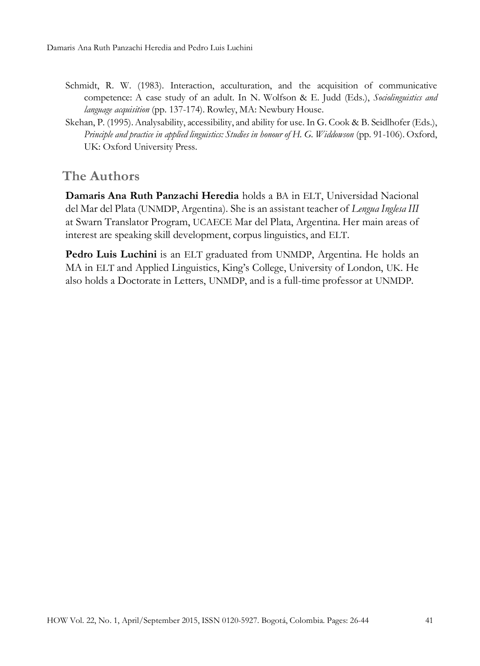- Schmidt, R. W. (1983). Interaction, acculturation, and the acquisition of communicative competence: A case study of an adult. In N. Wolfson & E. Judd (Eds.), *Sociolinguistics and language acquisition* (pp. 137-174). Rowley, MA: Newbury House.
- Skehan, P. (1995). Analysability, accessibility, and ability for use. In G. Cook & B. Seidlhofer (Eds.), *Principle and practice in applied linguistics: Studies in honour of H. G. Widdowson* (pp. 91-106). Oxford, UK: Oxford University Press.

## **The Authors**

**Damaris Ana Ruth Panzachi Heredia** holds a BA in ELT, Universidad Nacional del Mar del Plata (UNMDP, Argentina). She is an assistant teacher of *Lengua Inglesa III*  at Swarn Translator Program, UCAECE Mar del Plata, Argentina. Her main areas of interest are speaking skill development, corpus linguistics, and ELT.

**Pedro Luis Luchini** is an ELT graduated from UNMDP, Argentina. He holds an MA in ELT and Applied Linguistics, King's College, University of London, UK. He also holds a Doctorate in Letters, UNMDP, and is a full-time professor at UNMDP.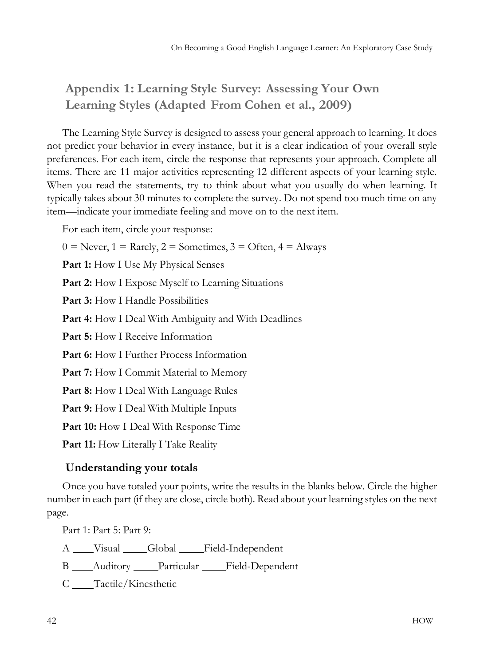# **Appendix 1: Learning Style Survey: Assessing Your Own Learning Styles (Adapted From Cohen et al., 2009)**

The Learning Style Survey is designed to assess your general approach to learning. It does not predict your behavior in every instance, but it is a clear indication of your overall style preferences. For each item, circle the response that represents your approach. Complete all items. There are 11 major activities representing 12 different aspects of your learning style. When you read the statements, try to think about what you usually do when learning. It typically takes about 30 minutes to complete the survey. Do not spend too much time on any item—indicate your immediate feeling and move on to the next item.

For each item, circle your response:

 $0 =$  Never,  $1 =$  Rarely,  $2 =$  Sometimes,  $3 =$  Often,  $4 =$  Always

**Part 1:** How I Use My Physical Senses

**Part 2:** How I Expose Myself to Learning Situations

**Part 3:** How I Handle Possibilities

**Part 4:** How I Deal With Ambiguity and With Deadlines

**Part 5:** How I Receive Information

**Part 6:** How I Further Process Information

Part 7: How I Commit Material to Memory

**Part 8:** How I Deal With Language Rules

**Part 9:** How I Deal With Multiple Inputs

**Part 10:** How I Deal With Response Time

**Part 11:** How Literally I Take Reality

#### **Understanding your totals**

Once you have totaled your points, write the results in the blanks below. Circle the higher number in each part (if they are close, circle both). Read about your learning styles on the next page.

Part 1: Part 5: Part 9:

A Visual Global Field-Independent

B \_\_\_\_ Auditory \_\_\_\_\_ Particular \_\_\_\_\_ Field-Dependent

C \_\_\_\_Tactile/Kinesthetic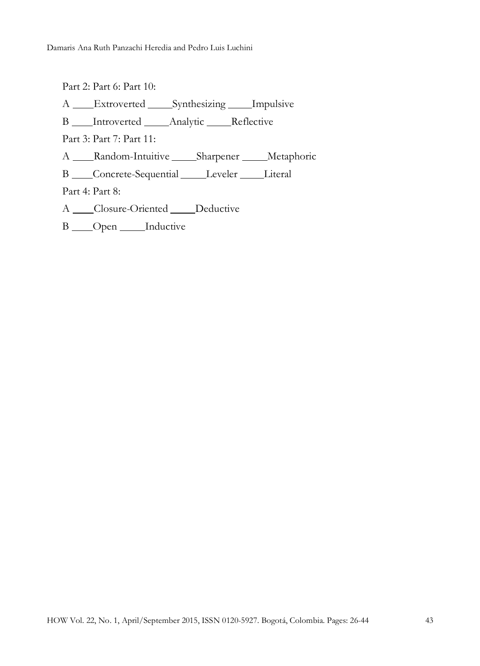Part 2: Part 6: Part 10: A **Extroverted** Synthesizing Impulsive B Introverted Analytic Reflective Part 3: Part 7: Part 11: A \_\_\_\_Random-Intuitive \_\_\_\_\_Sharpener \_\_\_\_\_Metaphoric B \_\_\_Concrete-Sequential \_\_\_\_\_Leveler \_\_\_\_\_Literal Part 4: Part 8: A Closure-Oriented Deductive

B \_\_\_ Open \_\_\_\_\_ Inductive